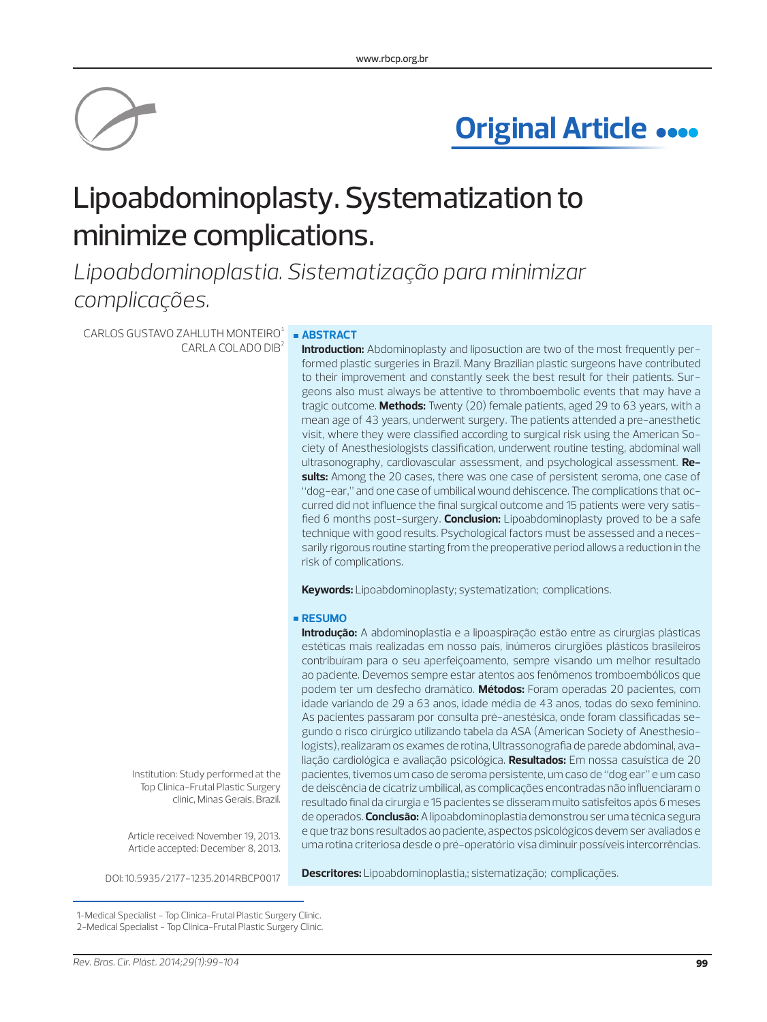

# **Original Article**

# Lipoabdominoplasty. Systematization to minimize complications.

*Lipoabdominoplastia. Sistematização para minimizar complicações.*

 $CARLOS$  GUSTAVO ZAHLUTH MONTEIRO $1$ CARLA COLADO DIB²

# **ABSTRACT**

**Introduction:** Abdominoplasty and liposuction are two of the most frequently performed plastic surgeries in Brazil. Many Brazilian plastic surgeons have contributed to their improvement and constantly seek the best result for their patients. Surgeons also must always be attentive to thromboembolic events that may have a tragic outcome. **Methods:** Twenty (20) female patients, aged 29 to 63 years, with a mean age of 43 years, underwent surgery. The patients attended a pre-anesthetic visit, where they were classified according to surgical risk using the American Society of Anesthesiologists classification, underwent routine testing, abdominal wall ultrasonography, cardiovascular assessment, and psychological assessment. **Results:** Among the 20 cases, there was one case of persistent seroma, one case of "dog-ear," and one case of umbilical wound dehiscence. The complications that occurred did not influence the final surgical outcome and 15 patients were very satisfied 6 months post-surgery. **Conclusion:** Lipoabdominoplasty proved to be a safe technique with good results. Psychological factors must be assessed and a necessarily rigorous routine starting from the preoperative period allows a reduction in the risk of complications.

**Keywords:** Lipoabdominoplasty; systematization; complications.

## **RESUMO**

**Introdução:** A abdominoplastia e a lipoaspiração estão entre as cirurgias plásticas estéticas mais realizadas em nosso país, inúmeros cirurgiões plásticos brasileiros contribuíram para o seu aperfeiçoamento, sempre visando um melhor resultado ao paciente. Devemos sempre estar atentos aos fenômenos tromboembólicos que podem ter um desfecho dramático. **Métodos:** Foram operadas 20 pacientes, com idade variando de 29 a 63 anos, idade média de 43 anos, todas do sexo feminino. As pacientes passaram por consulta pré-anestésica, onde foram classificadas segundo o risco cirúrgico utilizando tabela da ASA (American Society of Anesthesiologists), realizaram os exames de rotina, Ultrassonografia de parede abdominal, avaliação cardiológica e avaliação psicológica. **Resultados:** Em nossa casuística de 20 pacientes, tivemos um caso de seroma persistente, um caso de "dog ear" e um caso de deiscência de cicatriz umbilical, as complicações encontradas não influenciaram o resultado final da cirurgia e 15 pacientes se disseram muito satisfeitos após 6 meses de operados. **Conclusão:** A lipoabdominoplastia demonstrou ser uma técnica segura e que traz bons resultados ao paciente, aspectos psicológicos devem ser avaliados e uma rotina criteriosa desde o pré-operatório visa diminuir possíveis intercorrências.

Institution: Study performed at the Top Clínica-Frutal Plastic Surgery clinic, Minas Gerais, Brazil.

Article received: November 19, 2013. Article accepted: December 8, 2013.

**Descritores:** Lipoabdominoplastia,; sistematização; complicações. DOI: 10.5935/2177-1235.2014RBCP0017

1-Medical Specialist - Top Clínica-Frutal Plastic Surgery Clinic. 2-Medical Specialist - Top Clínica-Frutal Plastic Surgery Clinic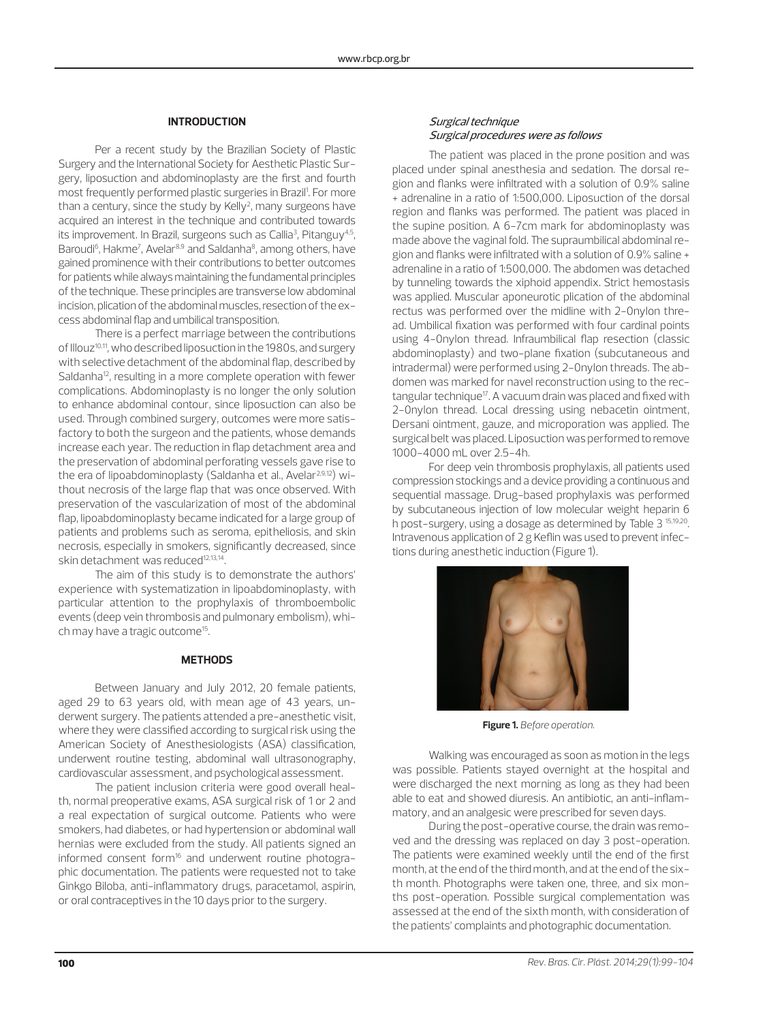## **INTRODUCTION**

Per a recent study by the Brazilian Society of Plastic Surgery and the International Society for Aesthetic Plastic Surgery, liposuction and abdominoplasty are the first and fourth most frequently performed plastic surgeries in Brazil<sup>1</sup>. For more than a century, since the study by Kelly<sup>2</sup>, many surgeons have acquired an interest in the technique and contributed towards its improvement. In Brazil, surgeons such as Callia<sup>3</sup>, Pitanguy<sup>4,5</sup>, Baroudi<sup>6</sup>, Hakme<sup>7</sup>, Avelar<sup>8,9</sup> and Saldanha<sup>8</sup>, among others, have gained prominence with their contributions to better outcomes for patients while always maintaining the fundamental principles of the technique. These principles are transverse low abdominal incision, plication of the abdominal muscles, resection of the excess abdominal flap and umbilical transposition.

There is a perfect marriage between the contributions of Illouz<sup>10,11</sup>, who described liposuction in the 1980s, and surgery with selective detachment of the abdominal flap, described by Saldanha<sup>12</sup>, resulting in a more complete operation with fewer complications. Abdominoplasty is no longer the only solution to enhance abdominal contour, since liposuction can also be used. Through combined surgery, outcomes were more satisfactory to both the surgeon and the patients, whose demands increase each year. The reduction in flap detachment area and the preservation of abdominal perforating vessels gave rise to the era of lipoabdominoplasty (Saldanha et al., Avelar<sup>2,9,12</sup>) without necrosis of the large flap that was once observed. With preservation of the vascularization of most of the abdominal flap, lipoabdominoplasty became indicated for a large group of patients and problems such as seroma, epitheliosis, and skin necrosis, especially in smokers, significantly decreased, since skin detachment was reduced<sup>12,13,14</sup>.

The aim of this study is to demonstrate the authors' experience with systematization in lipoabdominoplasty, with particular attention to the prophylaxis of thromboembolic events (deep vein thrombosis and pulmonary embolism), which may have a tragic outcome<sup>15</sup>.

## **METHODS**

Between January and July 2012, 20 female patients, aged 29 to 63 years old, with mean age of 43 years, underwent surgery. The patients attended a pre-anesthetic visit, where they were classified according to surgical risk using the American Society of Anesthesiologists (ASA) classification, underwent routine testing, abdominal wall ultrasonography, cardiovascular assessment, and psychological assessment.

The patient inclusion criteria were good overall health, normal preoperative exams, ASA surgical risk of 1 or 2 and a real expectation of surgical outcome. Patients who were smokers, had diabetes, or had hypertension or abdominal wall hernias were excluded from the study. All patients signed an informed consent form<sup>16</sup> and underwent routine photographic documentation. The patients were requested not to take Ginkgo Biloba, anti-inflammatory drugs, paracetamol, aspirin, or oral contraceptives in the 10 days prior to the surgery.

# Surgical technique Surgical procedures were as follows

The patient was placed in the prone position and was placed under spinal anesthesia and sedation. The dorsal region and flanks were infiltrated with a solution of 0.9% saline + adrenaline in a ratio of 1:500,000. Liposuction of the dorsal region and flanks was performed. The patient was placed in the supine position. A 6-7cm mark for abdominoplasty was made above the vaginal fold. The supraumbilical abdominal region and flanks were infiltrated with a solution of 0.9% saline + adrenaline in a ratio of 1:500,000. The abdomen was detached by tunneling towards the xiphoid appendix. Strict hemostasis was applied. Muscular aponeurotic plication of the abdominal rectus was performed over the midline with 2-0nylon thread. Umbilical fixation was performed with four cardinal points using 4-0nylon thread. Infraumbilical flap resection (classic abdominoplasty) and two-plane fixation (subcutaneous and intradermal) were performed using 2-0nylon threads. The abdomen was marked for navel reconstruction using to the rectangular technique<sup>17</sup>. A vacuum drain was placed and fixed with 2-0nylon thread. Local dressing using nebacetin ointment, Dersani ointment, gauze, and microporation was applied. The surgical belt was placed. Liposuction was performed to remove 1000-4000 mL over 2.5-4h.

For deep vein thrombosis prophylaxis, all patients used compression stockings and a device providing a continuous and sequential massage. Drug-based prophylaxis was performed by subcutaneous injection of low molecular weight heparin 6 h post-surgery, using a dosage as determined by Table 3 15,19,20. Intravenous application of 2 g Keflin was used to prevent infections during anesthetic induction (Figure 1).



 **Figure 1.** *Before operation.*

Walking was encouraged as soon as motion in the legs was possible. Patients stayed overnight at the hospital and were discharged the next morning as long as they had been able to eat and showed diuresis. An antibiotic, an anti-inflammatory, and an analgesic were prescribed for seven days.

During the post-operative course, the drain was removed and the dressing was replaced on day 3 post-operation. The patients were examined weekly until the end of the first month, at the end of the third month, and at the end of the sixth month. Photographs were taken one, three, and six months post-operation. Possible surgical complementation was assessed at the end of the sixth month, with consideration of the patients' complaints and photographic documentation.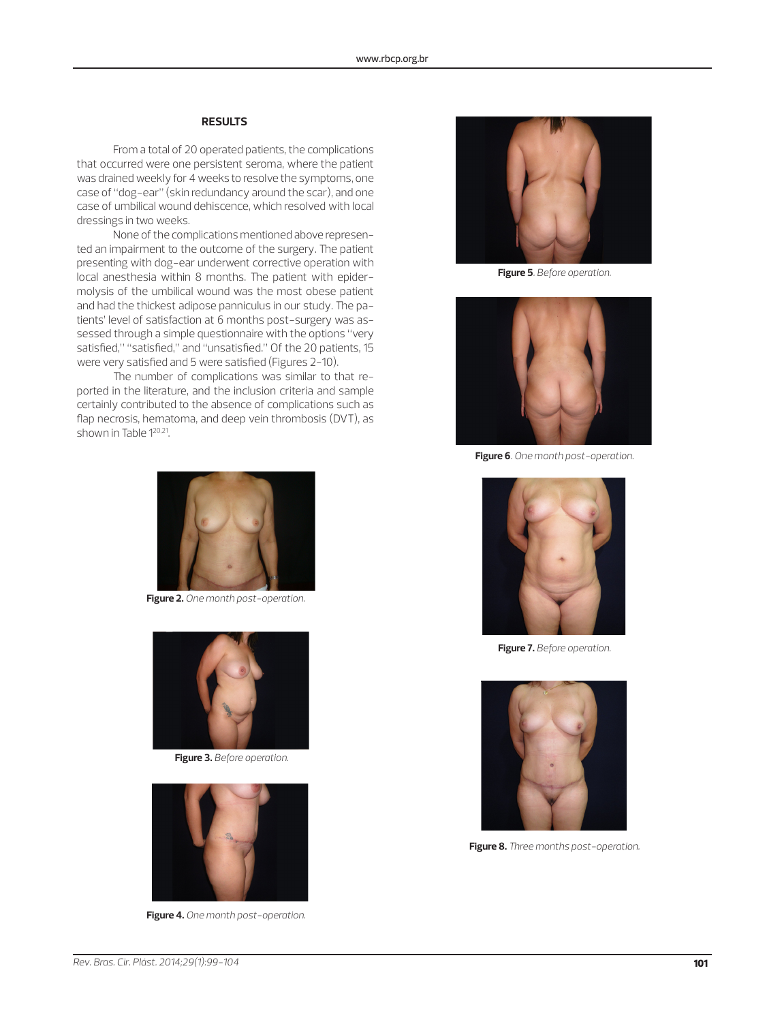# **RESULTS**

From a total of 20 operated patients, the complications that occurred were one persistent seroma, where the patient was drained weekly for 4 weeks to resolve the symptoms, one case of "dog-ear" (skin redundancy around the scar), and one case of umbilical wound dehiscence, which resolved with local dressings in two weeks.

None of the complications mentioned above represented an impairment to the outcome of the surgery. The patient presenting with dog-ear underwent corrective operation with local anesthesia within 8 months. The patient with epidermolysis of the umbilical wound was the most obese patient and had the thickest adipose panniculus in our study. The patients' level of satisfaction at 6 months post-surgery was assessed through a simple questionnaire with the options "very satisfied," "satisfied," and "unsatisfied." Of the 20 patients, 15 were very satisfied and 5 were satisfied (Figures 2-10).

The number of complications was similar to that reported in the literature, and the inclusion criteria and sample certainly contributed to the absence of complications such as flap necrosis, hematoma, and deep vein thrombosis (DVT), as shown in Table 120,21.



**Figure 2.** *One month post-operation.*



**Figure 3.** *Before operation.*



**Figure 4.** *One month post-operation.*



**Figure 5***. Before operation.*



**Figure 6***. One month post-operation.*



**Figure 7.** *Before operation.*



**Figure 8.** *Three months post-operation.*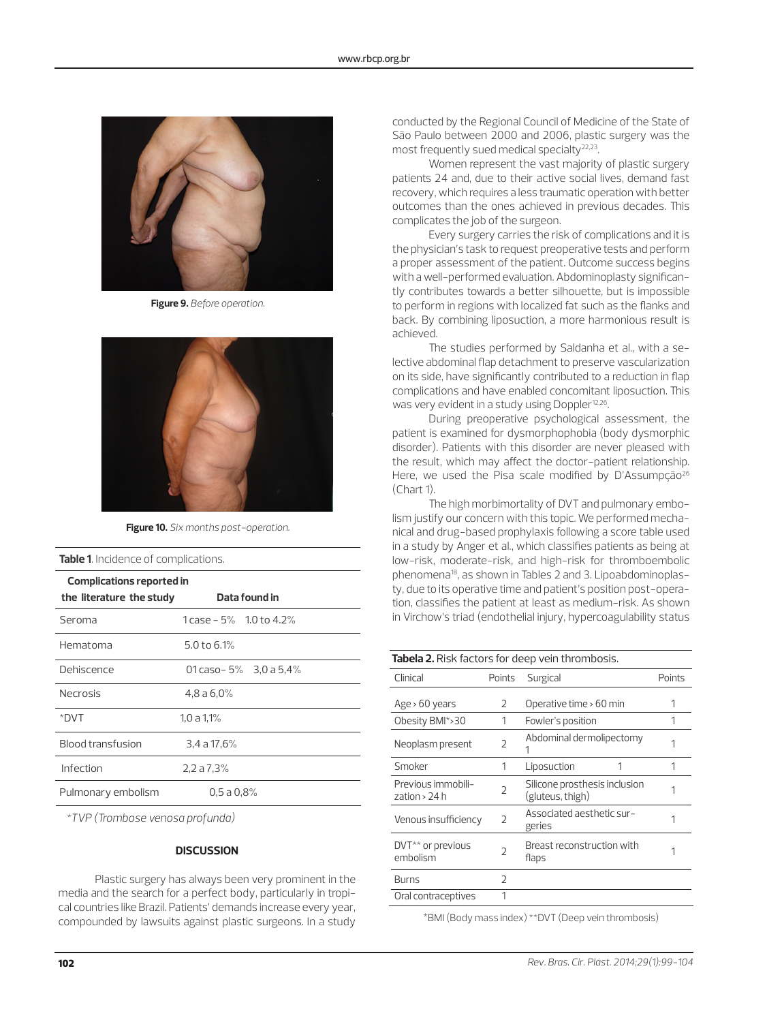

**Figure 9.** *Before operation.*



**Figure 10.** *Six months post-operation.*

**Table 1***.* Incidence of complications.

| Complications reported in |                               |  |
|---------------------------|-------------------------------|--|
| the literature the study  | Data found in                 |  |
| Seroma                    | $1$ case $-5\%$ 1.0 to 4.2%   |  |
| Hematoma                  | $5.0$ to 6.1%                 |  |
| Dehiscence                | 01 caso - $5\%$ 3,0 a $5,4\%$ |  |
| <b>Necrosis</b>           | 4,8a6,0%                      |  |
| *DVT                      | 1,0 a 1,1%                    |  |
| Blood transfusion         | $3,4$ a $17,6%$               |  |
| Infection                 | 2,2a7,3%                      |  |
| Pulmonary embolism        | 0.5a0.8%                      |  |

*\*TVP (Trombose venosa profunda)*

## **DISCUSSION**

Plastic surgery has always been very prominent in the media and the search for a perfect body, particularly in tropical countries like Brazil. Patients' demands increase every year, compounded by lawsuits against plastic surgeons. In a study

conducted by the Regional Council of Medicine of the State of São Paulo between 2000 and 2006, plastic surgery was the most frequently sued medical specialty<sup>22,23</sup>.

Women represent the vast majority of plastic surgery patients 24 and, due to their active social lives, demand fast recovery, which requires a less traumatic operation with better outcomes than the ones achieved in previous decades. This complicates the job of the surgeon.

Every surgery carries the risk of complications and it is the physician's task to request preoperative tests and perform a proper assessment of the patient. Outcome success begins with a well-performed evaluation. Abdominoplasty significantly contributes towards a better silhouette, but is impossible to perform in regions with localized fat such as the flanks and back. By combining liposuction, a more harmonious result is achieved.

The studies performed by Saldanha et al., with a selective abdominal flap detachment to preserve vascularization on its side, have significantly contributed to a reduction in flap complications and have enabled concomitant liposuction. This was very evident in a study using Doppler<sup>12,26</sup>.

During preoperative psychological assessment, the patient is examined for dysmorphophobia (body dysmorphic disorder). Patients with this disorder are never pleased with the result, which may affect the doctor-patient relationship. Here, we used the Pisa scale modified by D'Assumpção<sup>26</sup> (Chart 1).

The high morbimortality of DVT and pulmonary embolism justify our concern with this topic. We performed mechanical and drug-based prophylaxis following a score table used in a study by Anger et al., which classifies patients as being at low-risk, moderate-risk, and high-risk for thromboembolic phenomena18, as shown in Tables 2 and 3. Lipoabdominoplasty, due to its operative time and patient's position post-operation, classifies the patient at least as medium-risk. As shown in Virchow's triad (endothelial injury, hypercoagulability status

| <b>Tabela 2.</b> Risk factors for deep vein thrombosis. |                |                                                   |        |  |
|---------------------------------------------------------|----------------|---------------------------------------------------|--------|--|
| Clinical                                                | Points         | Surgical                                          | Points |  |
| Age $>60$ years                                         | 2              | Operative time > 60 min                           |        |  |
| Obesity BMI*>30                                         | 1              | 1<br>Fowler's position                            |        |  |
| Neoplasm present                                        | $\overline{2}$ | Abdominal dermolipectomy                          |        |  |
| Smoker                                                  | 1              | Liposuction                                       | 1      |  |
| Previous immobili-<br>zation > 24 h                     | $\overline{2}$ | Silicone prosthesis inclusion<br>(gluteus, thigh) |        |  |
| Venous insufficiency                                    | $\overline{2}$ | Associated aesthetic sur-<br>geries               |        |  |
| DVT <sup>**</sup> or previous<br>embolism               | 2              | Breast reconstruction with<br>flaps               |        |  |
| Burns                                                   | $\mathfrak{D}$ |                                                   |        |  |
| Oral contraceptives                                     | 1              |                                                   |        |  |

\*BMI (Body mass index) \*\*DVT (Deep vein thrombosis)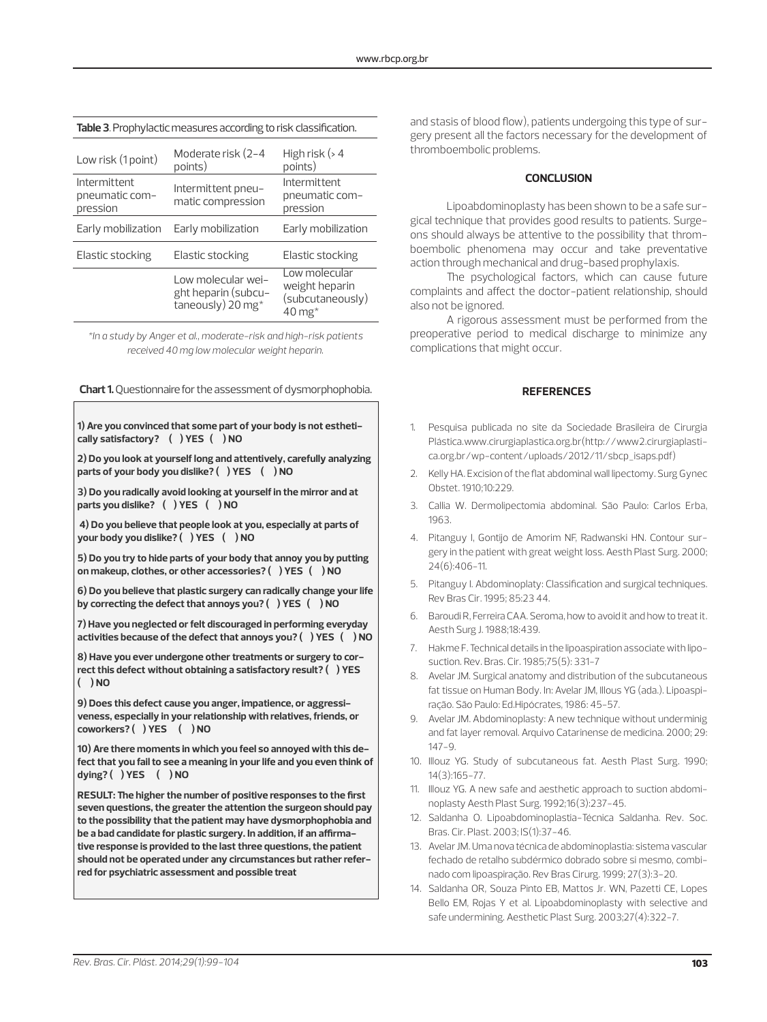| Table 3. Prophylactic measures according to risk classification. |                                                                |                                                                             |  |  |
|------------------------------------------------------------------|----------------------------------------------------------------|-----------------------------------------------------------------------------|--|--|
| Low risk (1 point)                                               | Moderate risk (2-4<br>points)                                  | High risk $($ 4<br>points)                                                  |  |  |
| Intermittent<br>pneumatic com-<br>pression                       | Intermittent pneu-<br>matic compression                        | Intermittent<br>pneumatic com-<br>pression                                  |  |  |
| Early mobilization                                               | Early mobilization                                             | Early mobilization                                                          |  |  |
| Elastic stocking                                                 | Elastic stocking                                               | Elastic stocking                                                            |  |  |
|                                                                  | Low molecular wei-<br>ght heparin (subcu-<br>taneously) 20 mg* | Low molecular<br>weight heparin<br>(subcutaneously)<br>$40 \,\mathrm{mg}^*$ |  |  |

*\*In a study by Anger et al., moderate-risk and high-risk patients received 40 mg low molecular weight heparin.*

**Chart 1.** Questionnaire for the assessment of dysmorphophobia. **REFERENCES** 

| 1) Are you convinced that some part of your body is not estheti-   |
|--------------------------------------------------------------------|
| cally satisfactory? () YES () NO                                   |
| 2) De vau leek at vaugelf leng and attentively, carefully analysis |

**2) Do you look at yourself long and attentively, carefully analyzing parts of your body you dislike? ( ) YES ( ) NO**

**3) Do you radically avoid looking at yourself in the mirror and at parts you dislike? ( ) YES ( ) NO**

**4) Do you believe that people look at you, especially at parts of your body you dislike? ( ) YES ( ) NO**

**5) Do you try to hide parts of your body that annoy you by putting on makeup, clothes, or other accessories? ( ) YES ( ) NO**

**6) Do you believe that plastic surgery can radically change your life by correcting the defect that annoys you? ( ) YES ( ) NO**

**7) Have you neglected or felt discouraged in performing everyday activities because of the defect that annoys you? ( ) YES ( ) NO**

**8) Have you ever undergone other treatments or surgery to correct this defect without obtaining a satisfactory result? ( ) YES ( ) NO**

**9) Does this defect cause you anger, impatience, or aggressiveness, especially in your relationship with relatives, friends, or coworkers? ( ) YES ( ) NO**

**10) Are there moments in which you feel so annoyed with this defect that you fail to see a meaning in your life and you even think of dying? ( ) YES ( ) NO**

**RESULT: The higher the number of positive responses to the first seven questions, the greater the attention the surgeon should pay to the possibility that the patient may have dysmorphophobia and be a bad candidate for plastic surgery. In addition, if an affirmative response is provided to the last three questions, the patient should not be operated under any circumstances but rather referred for psychiatric assessment and possible treat**

and stasis of blood flow), patients undergoing this type of surgery present all the factors necessary for the development of thromboembolic problems.

#### **CONCLUSION**

Lipoabdominoplasty has been shown to be a safe surgical technique that provides good results to patients. Surgeons should always be attentive to the possibility that thromboembolic phenomena may occur and take preventative action through mechanical and drug-based prophylaxis.

The psychological factors, which can cause future complaints and affect the doctor-patient relationship, should also not be ignored.

A rigorous assessment must be performed from the preoperative period to medical discharge to minimize any complications that might occur.

- 1. Pesquisa publicada no site da Sociedade Brasileira de Cirurgia Plástica.www.cirurgiaplastica.org.br(http://www2.cirurgiaplastica.org.br/wp-content/uploads/2012/11/sbcp\_isaps.pdf)
- 2. Kelly HA. Excision of the flat abdominal wall lipectomy. Surg Gynec Obstet. 1910;10:229.
- 3. Callia W. Dermolipectomia abdominal. São Paulo: Carlos Erba, 1963.
- 4. Pitanguy I, Gontijo de Amorim NF, Radwanski HN. Contour surgery in the patient with great weight loss. Aesth Plast Surg. 2000; 24(6):406-11.
- 5. Pitanguy I. Abdominoplaty: Classification and surgical techniques. Rev Bras Cir. 1995; 85:23 44.
- 6. Baroudi R, Ferreira CAA. Seroma, how to avoid it and how to treat it. Aesth Surg J. 1988;18:439.
- 7. Hakme F. Technical details in the lipoaspiration associate with liposuction. Rev. Bras. Cir. 1985;75(5): 331-7
- 8. Avelar JM. Surgical anatomy and distribution of the subcutaneous fat tissue on Human Body. In: Avelar JM, Illous YG (ada.). Lipoaspiração. São Paulo: Ed.Hipócrates, 1986: 45-57.
- 9. Avelar JM. Abdominoplasty: A new technique without underminig and fat layer removal. Arquivo Catarinense de medicina. 2000; 29: 147-9.
- 10. Illouz YG. Study of subcutaneous fat. Aesth Plast Surg. 1990; 14(3):165-77.
- 11. Illouz YG. A new safe and aesthetic approach to suction abdominoplasty Aesth Plast Surg. 1992;16(3):237-45.
- 12. Saldanha O. Lipoabdominoplastia-Técnica Saldanha. Rev. Soc. Bras. Cir. Plast. 2003; lS(1):37-46.
- 13. Avelar JM. Uma nova técnica de abdominoplastia: sistema vascular fechado de retalho subdérmico dobrado sobre si mesmo, combinado com lipoaspiração. Rev Bras Cirurg. 1999; 27(3):3-20.
- 14. Saldanha OR, Souza Pinto EB, Mattos Jr. WN, Pazetti CE, Lopes Bello EM, Rojas Y et al. Lipoabdominoplasty with selective and safe undermining. Aesthetic Plast Surg. 2003;27(4):322-7.